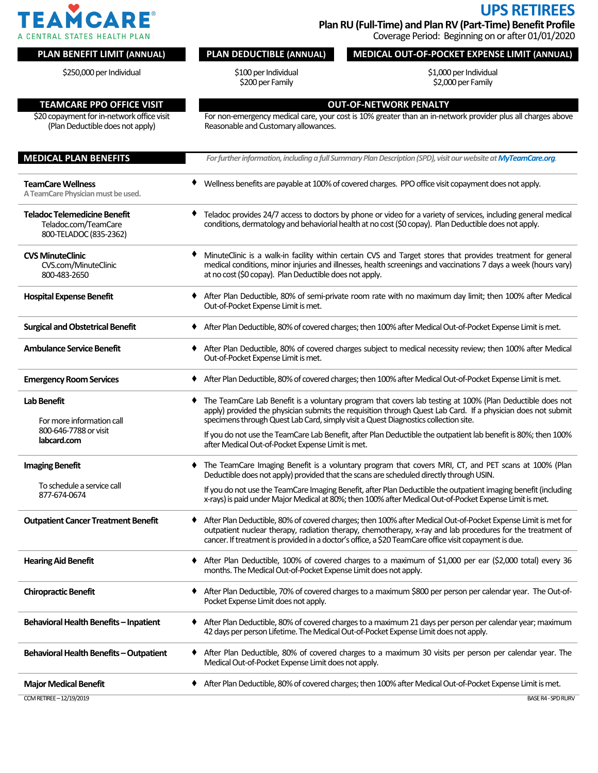

**UPS RETIREES Plan RU(Full-Time) and Plan RV(Part-Time) Benefit Profile**

Coverage Period: Beginning on or after 01/01/2020

## **PLAN BENEFIT LIMIT (ANNUAL) PLAN DEDUCTIBLE (ANNUAL) MEDICAL OUT-OF-POCKET EXPENSE LIMIT (ANNUAL)** \$250,000 per Individual \$100 per Individual \$200 per Family \$1,000 per Individual \$2,000 per Family **TEAMCARE PPO OFFICE VISIT OUT-OF-NETWORK PENALTY** \$20 copayment for in-network office visit (Plan Deductible does not apply) For non-emergency medical care, your cost is 10% greater than an in-network provider plus all charges above Reasonable and Customary allowances. **MEDICAL PLAN BENEFITS** *For further information, including a full Summary Plan Description (SPD), visit our website at MyTeamCare.org* **TeamCareWellness** A TeamCare Physician must be used. Wellness benefits are payable at 100% of covered charges. PPO office visit copayment does not apply. **Teladoc Telemedicine Benefit** Teladoc.com/TeamCare 800-TELADOC(835-2362) Teladoc provides 24/7 access to doctors by phone or video for a variety of services, including general medical conditions, dermatology and behaviorial health at no cost (\$0 copay). Plan Deductible does not apply. **CVS MinuteClinic** CVS.com/MinuteClinic 800-483-2650 MinuteClinic is a walk-in facility within certain CVS and Target stores that provides treatment for general medical conditions, minor injuries and illnesses, health screenings and vaccinations 7 days a week (hours vary) at no cost (\$0 copay). Plan Deductible does not apply. Hospital Expense Benefit **Access 19 Conserverse 15 A**fter Plan Deductible, 80% of semi-private room rate with no maximum day limit; then 100% after Medical Out-of-Pocket Expense Limit is met. Surgical and Obstetrical Benefit **After Plan Deductible, 80%** of covered charges; then 100% after Medical Out-of-Pocket Expense Limit is met. Ambulance Service Benefit **→** After Plan Deductible, 80% of covered charges subject to medical necessity review; then 100% after Medical Out-of-Pocket Expense Limit is met. **Emergency Room Services** ● After Plan Deductible, 80% of covered charges; then 100% after Medical Out-of-Pocket Expense Limit is met. **Lab Benefit** For more information call 800-646-7788or visit **labcard.com** The TeamCare Lab Benefit is a voluntary program that covers lab testing at 100% (Plan Deductible does not apply) provided the physician submits the requisition through Quest Lab Card. If a physician does not submit specimens through Quest Lab Card, simply visit a Quest Diagnostics collection site. If you do not use the TeamCare Lab Benefit, after Plan Deductible the outpatient lab benefit is 80%; then 100% after Medical Out-of-Pocket Expense Limit is met. **Imaging Benefit** To schedule a service call 877-674-0674 The TeamCare Imaging Benefit is a voluntary program that covers MRI, CT, and PET scans at 100% (Plan Deductible does not apply) provided that the scans are scheduled directly through USIN. If you do not use the TeamCare Imaging Benefit, after Plan Deductible the outpatient imaging benefit (including x-rays) is paid under Major Medical at 80%; then 100% after Medical Out-of-Pocket Expense Limit is met. Outpatient Cancer Treatment Benefit  $\longrightarrow$  After Plan Deductible, 80% of covered charges; then 100% after Medical Out-of-Pocket Expense Limit is met for outpatient nuclear therapy, radiation therapy, chemotherapy, x-ray and lab procedures for the treatment of cancer. If treatment is provided in a doctor's office, a \$20 TeamCare office visit copayment is due. Hearing Aid Benefit **Access 19 Contained Access 100**% of covered charges to a maximum of \$1,000 per ear (\$2,000 total) every 36 months. The Medical Out-of-Pocket Expense Limit does not apply. **ChiropracticBenefit** After Plan Deductible, 70% of covered chargesto amaximum\$800 per person per calendar year. TheOut-of-Pocket Expense Limit does not apply. Behavioral Health Benefits – Inpatient  $\blacklozenge$  After Plan Deductible, 80% of covered charges to a maximum 21 days per person per calendar year; maximum 42 days per person Lifetime. The Medical Out-of-Pocket Expense Limit does not apply. Behavioral Health Benefits - Outpatient  $\blacklozenge$  After Plan Deductible, 80% of covered charges to a maximum 30 visits per person per calendar year. The Medical Out-of-Pocket Expense Limit does not apply. **MajorMedicalBenefit** AfterPlanDeductible,80%of coveredcharges;then100%afterMedicalOut-of-PocketExpenseLimitismet. CCMRETIREE–12/19/2019 BASER4-SPDRURV